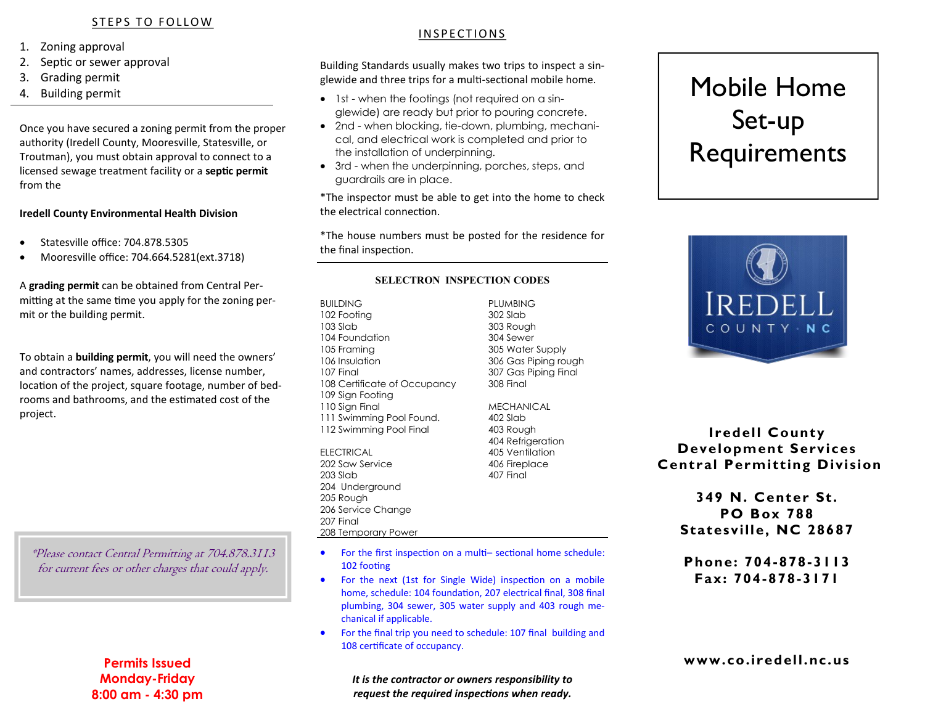## STEPS TO FOLLOW

- 1. Zoning approval
- 2. Septic or sewer approval
- 3. Grading permit
- 4. Building permit

Once you have secured a zoning permit from the proper authority (Iredell County, Mooresville, Statesville, or Troutman), you must obtain approval to connect to a licensed sewage treatment facility or a **septic permit**  from the

#### **Iredell County Environmental Health Division**

- Statesville office: 704.878.5305
- Mooresville office: 704.664.5281(ext.3718)

A **grading permit** can be obtained from Central Permitting at the same time you apply for the zoning permit or the building permit.

To obtain a **building permit**, you will need the owners' and contractors' names, addresses, license number, location of the project, square footage, number of bedrooms and bathrooms, and the estimated cost of the project.

\*Please contact Central Permitting at 704.878.3113 for current fees or other charges that could apply.

# **Permits Issued Monday-Friday 8:00 am - 4:30 pm**

# I N S P E C T I O N S

Building Standards usually makes two trips to inspect a singlewide and three trips for a multi-sectional mobile home.

- 1st when the footings (not required on a singlewide) are ready but prior to pouring concrete.
- 2nd when blocking, tie-down, plumbing, mechanical, and electrical work is completed and prior to the installation of underpinning.
- 3rd when the underpinning, porches, steps, and guardrails are in place.

\*The inspector must be able to get into the home to check the electrical connection.

\*The house numbers must be posted for the residence for the final inspection.

#### **SELECTRON INSPECTION CODES**

BUILDING PLUMBING 102 Footing 302 Slab 103 Slab 303 Rough 104 Foundation 304 Sewer 105 Framing 305 Water Supply 106 Insulation 306 Gas Piping rough 107 Final 307 Gas Piping Final 108 Certificate of Occupancy 308 Final 109 Sign Footing 110 Sign Final MECHANICAL 111 Swimming Pool Found. 402 Slab 112 Swimming Pool Final 403 Rough

ELECTRICAL 205 Ventilation 202 Saw Service 406 Fireplace 203 Slab 407 Final 204 Underground 205 Rough 206 Service Change 207 Final 208 Temporary Power

 For the first inspection on a multi– sectional home schedule: 102 footing

404 Refrigeration

- For the next (1st for Single Wide) inspection on a mobile home, schedule: 104 foundation, 207 electrical final, 308 final plumbing, 304 sewer, 305 water supply and 403 rough mechanical if applicable.
- For the final trip you need to schedule: 107 final building and 108 certificate of occupancy.

*It is the contractor or owners responsibility to request the required inspections when ready.*

# Mobile Home Set-up Requirements



**Iredell County Development Services Central Permitting Division** 

**349 N. Center St. PO Box 788 Statesville, NC 28687**

**Phone: 704-878-3113 Fax: 704-878-3171**

# **www.co.iredell.nc.us**